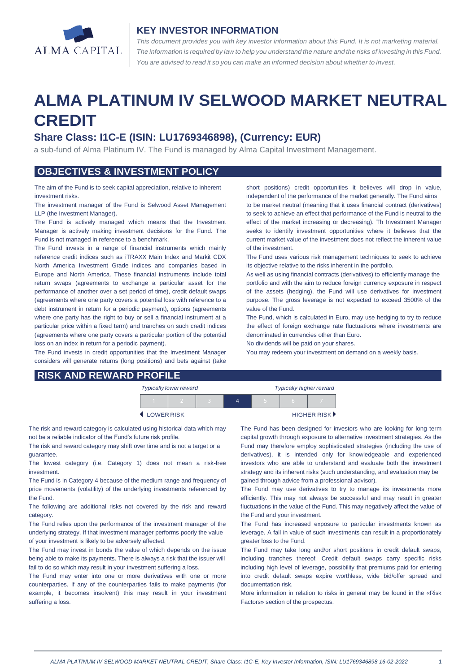

#### **KEY INVESTOR INFORMATION**

*This document provides you with key investor information about this Fund. It is not marketing material.*  The information is required by law to help you understand the nature and the risks of investing in this Fund. *You are advised to read it so you can make an informed decision about whether to invest.*

# **ALMA PLATINUM IV SELWOOD MARKET NEUTRAL CREDIT**

## **Share Class: I1C-E (ISIN: LU1769346898), (Currency: EUR)**

a sub-fund of Alma Platinum IV. The Fund is managed by Alma Capital Investment Management.

#### **OBJECTIVES & INVESTMENT POLICY**

The aim of the Fund is to seek capital appreciation, relative to inherent investment risks.

The investment manager of the Fund is Selwood Asset Management LLP (the Investment Manager).

The Fund is actively managed which means that the Investment Manager is actively making investment decisions for the Fund. The Fund is not managed in reference to a benchmark.

The Fund invests in a range of financial instruments which mainly reference credit indices such as iTRAXX Main Index and Markit CDX North America Investment Grade indices and companies based in Europe and North America. These financial instruments include total return swaps (agreements to exchange a particular asset for the performance of another over a set period of time), credit default swaps (agreements where one party covers a potential loss with reference to a debt instrument in return for a periodic payment), options (agreements where one party has the right to buy or sell a financial instrument at a particular price within a fixed term) and tranches on such credit indices (agreements where one party covers a particular portion of the potential loss on an index in return for a periodic payment).

The Fund invests in credit opportunities that the Investment Manager considers will generate returns (long positions) and bets against (take short positions) credit opportunities it believes will drop in value, independent of the performance of the market generally. The Fund aims to be market neutral (meaning that it uses financial contract (derivatives) to seek to achieve an effect that performance of the Fund is neutral to the effect of the market increasing or decreasing). Th Investment Manager seeks to identify investment opportunities where it believes that the current market value of the investment does not reflect the inherent value of the investment.

The Fund uses various risk management techniques to seek to achieve its objective relative to the risks inherent in the portfolio.

As well as using financial contracts (derivatives) to efficiently manage the portfolio and with the aim to reduce foreign currency exposure in respect of the assets (hedging), the Fund will use derivatives for investment purpose. The gross leverage is not expected to exceed 3500% of the value of the Fund.

The Fund, which is calculated in Euro, may use hedging to try to reduce the effect of foreign exchange rate fluctuations where investments are denominated in currencies other than Euro.

No dividends will be paid on your shares.

You may redeem your investment on demand on a weekly basis.

| <b>RISK AND REWARD PROFILE</b> |  |
|--------------------------------|--|
|--------------------------------|--|

| <b>Typically lower reward</b> |  |  |  |  | <b>Typically higher reward</b> |
|-------------------------------|--|--|--|--|--------------------------------|
|                               |  |  |  |  |                                |
| <b>LOWER RISK</b>             |  |  |  |  | HIGHER RISK <sup>&gt;</sup>    |

The risk and reward category is calculated using historical data which may not be a reliable indicator of the Fund's future risk profile.

The risk and reward category may shift over time and is not a target or a guarantee.

The lowest category (i.e. Category 1) does not mean a risk-free investment.

The Fund is in Category 4 because of the medium range and frequency of price movements (volatility) of the underlying investments referenced by the Fund.

The following are additional risks not covered by the risk and reward category.

The Fund relies upon the performance of the investment manager of the underlying strategy. If that investment manager performs poorly the value of your investment is likely to be adversely affected.

The Fund may invest in bonds the value of which depends on the issue being able to make its payments. There is always a risk that the issuer will fail to do so which may result in your investment suffering a loss.

The Fund may enter into one or more derivatives with one or more counterparties. If any of the counterparties fails to make payments (for example, it becomes insolvent) this may result in your investment suffering a loss.

The Fund has been designed for investors who are looking for long term capital growth through exposure to alternative investment strategies. As the Fund may therefore employ sophisticated strategies (including the use of derivatives), it is intended only for knowledgeable and experienced investors who are able to understand and evaluate both the investment strategy and its inherent risks (such understanding, and evaluation may be gained through advice from a professional advisor).

The Fund may use derivatives to try to manage its investments more efficiently. This may not always be successful and may result in greater fluctuations in the value of the Fund. This may negatively affect the value of the Fund and your investment.

The Fund has increased exposure to particular investments known as leverage. A fall in value of such investments can result in a proportionately greater loss to the Fund.

The Fund may take long and/or short positions in credit default swaps, including tranches thereof. Credit default swaps carry specific risks including high level of leverage, possibility that premiums paid for entering into credit default swaps expire worthless, wide bid/offer spread and documentation risk.

More information in relation to risks in general may be found in the «Risk Factors» section of the prospectus.